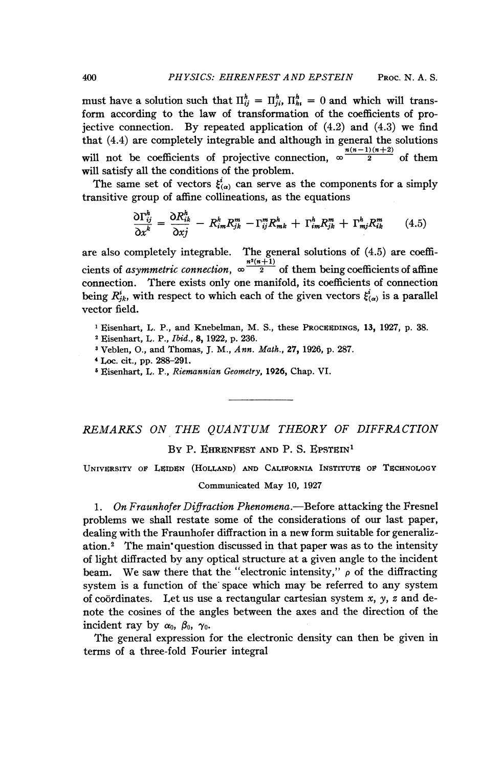must have a solution such that  $\prod_{ij}^{h} = \prod_{ji}^{h} \prod_{h}^{h} = 0$  and which will transform according to the law of transformation of the coefficients of projective connection. By repeated application of  $(4.2)$  and  $(4.3)$  we find that (4.4) are completely integrable and although in general the solutions will not be coefficients of projective connection,  $\infty \frac{n(n-1)(n+2)}{2}$  of them will satisfy all the conditions of the problem.

The same set of vectors  $\xi_{(\alpha)}^i$  can serve as the components for a simply transitive group of affine collineations, as the equations

$$
\frac{\partial \Gamma_{ij}^h}{\partial x^k} = \frac{\partial R_{ik}^h}{\partial x^j} - R_{im}^h R_{jk}^m - \Gamma_{ij}^m R_{mk}^h + \Gamma_{im}^h R_{jk}^m + \Gamma_{mj}^h R_{ik}^m \qquad (4.5)
$$

are also completely integrable. The general solutions of (4.5) are coefficients of *asymmetric connection*,  $\infty^{\frac{n^2(n+1)}{2}}$  of them being coefficients of affine connection. There exists only one manifold, its coefficients of connection being  $R_{jk}^i$ , with respect to which each of the given vectors  $\xi_{(\alpha)}^i$  is a parallel vector field.

- <sup>1</sup> Eisenhart, L. P., and Knebelman, M. S., these PROCEEDINGS, 13, 1927, p. 38.
- <sup>2</sup> Eisenhart, L. P., Ibid., 8, 1922, p. 236.
- <sup>3</sup> Veblen, O., and Thomas, J. M., Ann. Math., 27, 1926, p. 287.

<sup>4</sup> Loc. cit., pp. 288-291.

<sup>6</sup> Eisenhart, L. P., Riemannian Geometry, 1926, Chap. VI.

REMARKS ON THE QUANTUM THEORY OF DIFFRACTION BY P. EHRENFEST AND P. S. EPSTEIN<sup>1</sup>

UNIVERSITY OF LEIDEN (HOLLAND) AND CALIFORNIA INSTITUTE OF TECHNOLOGY

## Communicated May 10, 1927

1. On Fraunhofer Diffraction Phenomena.—Before attacking the Fresnel problems we shall restate some of the considerations of our last paper, dealing with the Fraunhofer diffraction in a new form suitable for generalization.2 The main' question discussed in that paper was as to the intensity of light diffracted by any optical structure at a given angle to the incident beam. We saw there that the "electronic intensity,"  $\rho$  of the diffracting system is a function of the space which may be referred to any system of coordinates. Let us use a rectangular cartesian system  $x$ ,  $y$ ,  $z$  and denote the cosines of the angles between the axes and the direction of the incident ray by  $\alpha_0$ ,  $\beta_0$ ,  $\gamma_0$ .

The general expression for the electronic density can then be given in terms of a three-fold Fourier integral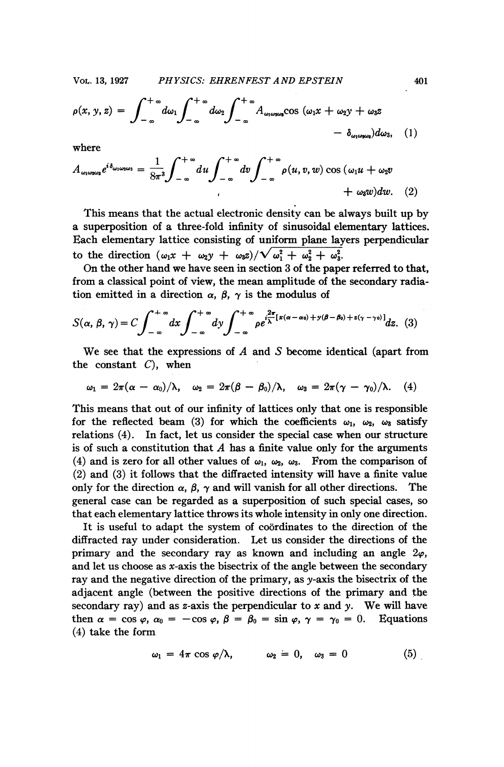$$
\rho(x, y, z) = \int_{-\infty}^{+\infty} d\omega_1 \int_{-\infty}^{+\infty} d\omega_2 \int_{-\infty}^{+\infty} A_{\omega_1 \omega_2 \omega_3} \cos (\omega_1 x + \omega_2 y + \omega_3 z - \delta_{\omega_1 \omega_2 \omega_3}) d\omega_3, \quad (1)
$$

where

where  
\n
$$
A_{\omega_1 \omega_2 \omega_3} e^{i \delta_{\omega_1 \omega_2 \omega_3}} = \frac{1}{8\pi^3} \int_{-\infty}^{+\infty} du \int_{-\infty}^{+\infty} dv \int_{-\infty}^{+\infty} \rho(u, v, w) \cos{(\omega_1 u + \omega_2 v + \omega_3 w)} dw.
$$
\n(2)

This means that the actual electronic density can be always built up by a superposition of a three-fold infinitv of sinusoidal elementary lattices. Each elementary lattice consisting of uniform plane layers perpendicular to the direction  $(\omega_1 x + \omega_2 y + \omega_3 z)/\sqrt{\omega_1^2 + \omega_2^2 + \omega_3^2}$ .<br>On the other hand we have seen in section 3 of the paper referred to that,

from a classical point of view, the mean amplitude of the secondary radiation emitted in a direction  $\alpha$ ,  $\beta$ ,  $\gamma$  is the modulus of

$$
S(\alpha, \beta, \gamma) = C \int_{-\infty}^{+\infty} dx \int_{-\infty}^{+\infty} dy \int_{-\infty}^{+\infty} \rho e^{i\frac{2\pi}{\lambda} [x(\alpha - \alpha_0) + y(\beta - \beta_0) + z(\gamma - \gamma_0)]} dz. \tag{3}
$$

We see that the expressions of  $A$  and  $S$  become identical (apart from the constant  $C$ ), when

$$
\omega_1 = 2\pi(\alpha - \alpha_0)/\lambda, \quad \omega_2 = 2\pi(\beta - \beta_0)/\lambda, \quad \omega_3 = 2\pi(\gamma - \gamma_0)/\lambda. \quad (4)
$$

This means that out of our infinity of lattices only that one is responsible for the reflected beam (3) for which the coefficients  $\omega_1$ ,  $\omega_2$ ,  $\omega_3$  satisfy relations (4). In fact, let us consider the special case when our structure is of such a constitution that  $A$  has a finite value only for the arguments (4) and is zero for all other values of  $\omega_1$ ,  $\omega_2$ ,  $\omega_3$ . From the comparison of (2) and (3) it follows that the diffracted intensity will have a finite value only for the direction  $\alpha$ ,  $\beta$ ,  $\gamma$  and will vanish for all other directions. The general case can be regarded as a superposition of such special cases, so that each elementary lattice throws its whole intensity in only one direction.

It is useful to adapt the system of coordinates to the direction of the diffracted ray under consideration. Let us consider the directions of the primary and the secondary ray as known and including an angle  $2\varphi$ , and let us choose as  $x$ -axis the bisectrix of the angle between the secondary ray and the negative direction of the primary, as y-axis the bisectrix of the adjacent angle (between the positive directions of the primary and the secondary ray) and as z-axis the perpendicular to x and  $\gamma$ . We will have then  $\alpha = \cos \varphi$ ,  $\alpha_0 = -\cos \varphi$ ,  $\beta = \beta_0 = \sin \varphi$ ,  $\gamma = \gamma_0 = 0$ . Equations (4) take the form 1<br>  $\omega_1 = 4\pi \cos \varphi / \lambda, \qquad \omega_2 = 0, \quad \omega_3 = 0$ 

$$
\omega_1 = 4\pi \cos \varphi/\lambda, \qquad \omega_2 = 0, \quad \omega_3 = 0 \tag{5}
$$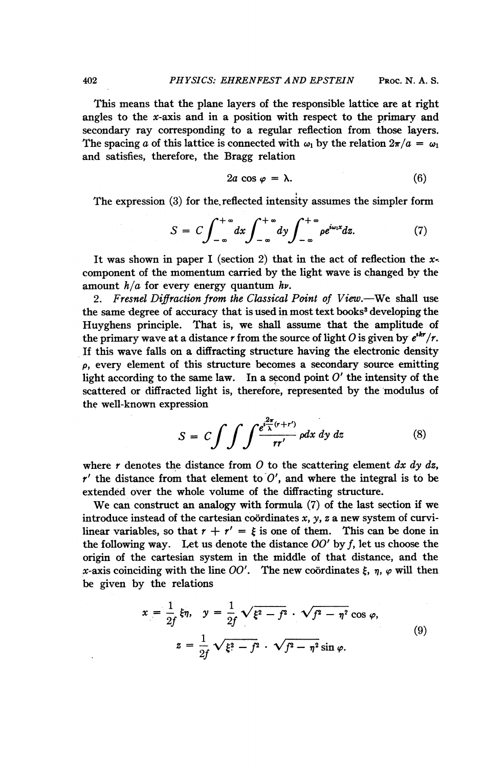This means that the plane layers of the responsible lattice are at right angles to the  $x$ -axis and in a position with respect to the primary and secondary ray corresponding to a regular reflection from those layers. The spacing a of this lattice is connected with  $\omega_1$  by the relation  $2\pi/a = \omega_1$ and satisfies, therefore, the Bragg relation

$$
2a\,\cos\,\varphi\,=\,\lambda.\tag{6}
$$

The expression (3) for the reflected intensity assumes the simpler form

$$
S = C \int_{-\infty}^{+\infty} dx \int_{-\infty}^{+\infty} dy \int_{-\infty}^{+\infty} \rho e^{i\omega_1 x} dz. \tag{7}
$$

It was shown in paper I (section 2) that in the act of reflection the  $x$ component of the momentum carried by the light wave is changed bv the amount  $h/a$  for every energy quantum  $h\nu$ .

2. Fresnel Diffraction from the Classical Point of View.—We shall use the same degree of accuracy that is used in most text books<sup>3</sup> developing the Huyghens principle. That is, we shall assume that the amplitude of the primary wave at a distance r from the source of light O is given by  $e^{ikr}/r$ . If this wave falls on a diffracting structure having the electronic density  $\rho$ , every element of this structure becomes a secondary source emitting light according to the same law. In a second point  $O'$  the intensity of the scattered or diffracted light is, therefore, represented by the modulus of the well-known expression

$$
S = C \int \int \int \frac{e^{i\frac{2\pi}{\lambda}(r+r')}}{rr'} \rho dx \, dy \, dz \tag{8}
$$

where r denotes the distance from  $O$  to the scattering element dx dy dz, r' the distance from that element to  $O'$ , and where the integral is to be extended over the whole volume of the diffracting structure.

We can construct an analogy with formula (7) of the last section if we introduce instead of the cartesian coordinates  $x$ ,  $y$ ,  $z$  a new system of curvilinear variables, so that  $r + r' = \xi$  is one of them. This can be done in the following way. Let us denote the distance  $OO'$  by f, let us choose the origin of the cartesian system in the middle of that distance, and the x-axis coinciding with the line  $OO'$ . The new coordinates  $\xi$ ,  $\eta$ ,  $\varphi$  will then be given by the relations

$$
x = \frac{1}{2f} \xi \eta, \quad y = \frac{1}{2f} \sqrt{\xi^2 - f^2} \cdot \sqrt{f^2 - \eta^2} \cos \varphi,
$$
  

$$
z = \frac{1}{2f} \sqrt{\xi^2 - f^2} \cdot \sqrt{f^2 - \eta^2} \sin \varphi.
$$
 (9)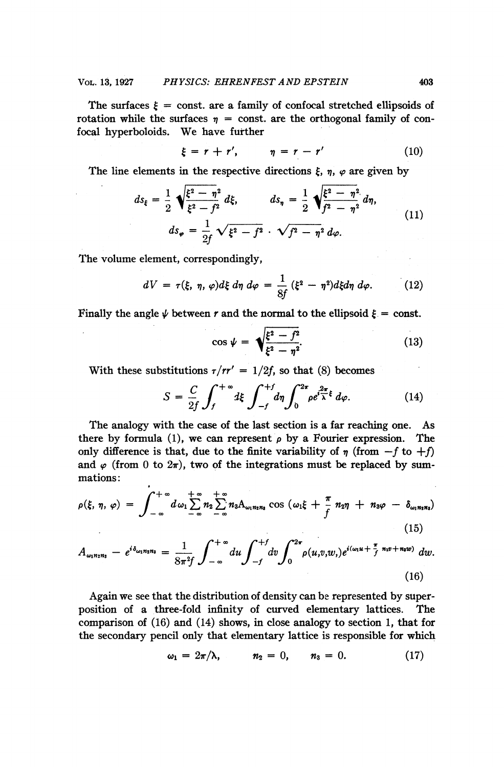The surfaces  $\xi$  = const. are a family of confocal stretched ellipsoids of rotation while the surfaces  $\eta$  = const. are the orthogonal family of confocal hyperboloids. We have further

$$
\xi = r + r', \qquad \eta = r - r' \tag{10}
$$

The line elements in the respective directions  $\xi$ ,  $\eta$ ,  $\varphi$  are given by

$$
ds_{\xi} = \frac{1}{2} \sqrt{\frac{\xi^2 - \eta^2}{\xi^2 - f^2}} d\xi, \qquad ds_{\eta} = \frac{1}{2} \sqrt{\frac{\xi^2 - \eta^2}{f^2 - \eta^2}} d\eta, ds_{\varphi} = \frac{1}{2f} \sqrt{\xi^2 - f^2} \cdot \sqrt{f^2 - \eta^2} d\varphi.
$$
 (11)

The volume element, correspondingly,

$$
dV = \tau(\xi, \eta, \varphi) d\xi \, d\eta \, d\varphi = \frac{1}{8f} (\xi^2 - \eta^2) d\xi d\eta \, d\varphi. \qquad (12)
$$

Finally the angle  $\psi$  between r and the normal to the ellipsoid  $\xi$  = const.

$$
\cos \psi = \sqrt{\frac{\xi^2 - f^2}{\xi^2 - \eta^2}}.
$$
 (13)

With these substitutions  $\tau/rr' = 1/2f$ , so that (8) becomes

$$
S = \frac{C}{2f} \int_{f}^{+\infty} d\xi \int_{-f}^{+f} d\eta \int_{0}^{2\pi} \rho e^{i\frac{2\pi}{\lambda} \xi} d\varphi.
$$
 (14)

The analogy with the case of the last section is a far reaching one. As there by formula (1), we can represent  $\rho$  by a Fourier expression. The only difference is that, due to the finite variability of  $\eta$  (from  $-f$  to  $+f$ ) and  $\varphi$  (from 0 to  $2\pi$ ), two of the integrations must be replaced by summations:

$$
\rho(\xi,\,\eta,\,\varphi) \,=\, \int_{-\infty}^{+\infty} d\,\omega_1 \sum_{-\infty}^{+\infty} n_2 \sum_{-\infty}^{+\infty} n_3 A_{\omega_1 n_2 n_3} \cos\left(\omega_1 \xi + \frac{\pi}{f} \, n_2 \eta \,+\, n_3 \varphi \,-\, \delta_{\omega_1 n_3 n_3}\right) \tag{15}
$$

$$
A_{\omega_1 n_2 n_3} - e^{i\delta_{\omega_1 n_2 n_3}} = \frac{1}{8\pi^2 f} \int_{-\infty}^{+\infty} du \int_{-f}^{+f} dv \int_0^{2\pi} \rho(u,v,w_1) e^{i(\omega_1 u + \frac{\pi}{f} n_2 v + n_3 w)} dw.
$$
\n(16)

Again we see that the distribution of density can be represented by superposition of a three-fold infinity of curved elementary lattices. The comparison of (16) and (14) shows, in close analogy to section 1, that for the secondary pencil only that elementary lattice is responsible for which

$$
\omega_1 = 2\pi/\lambda, \qquad n_2 = 0, \qquad n_3 = 0. \tag{17}
$$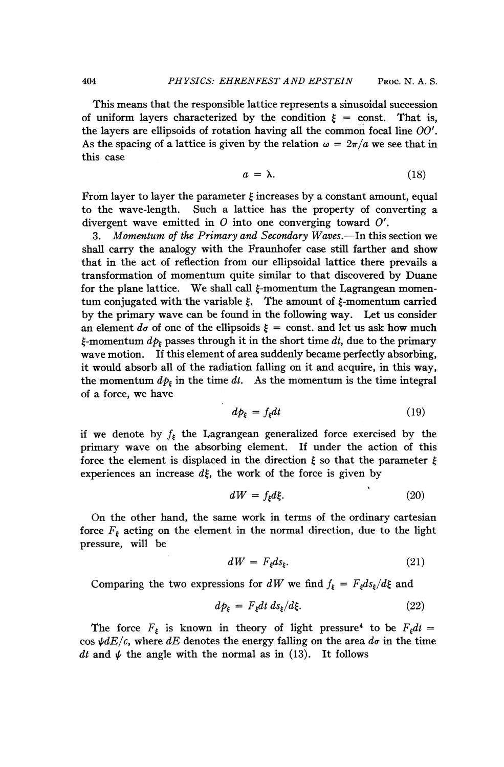This means that the responsible lattice represents a sinusoidal succession of uniform layers characterized by the condition  $\xi$  = const. That is, the layers are ellipsoids of rotation having all the common focal line 00'. As the spacing of a lattice is given by the relation  $\omega = 2\pi/a$  we see that in this case

$$
a = \lambda. \tag{18}
$$

From layer to layer the parameter  $\xi$  increases by a constant amount, equal to the wave-length. Such a lattice has the property of converting a divergent wave emitted in  $\hat{O}$  into one converging toward  $\hat{O}'$ .

3. Momentum of the Primary and Secondary Waves.—In this section we shall carry the analogy with the Fraunhofer case still farther and show that in the act of reflection from our ellipsoidal lattice there prevails a transformation of momentum quite similar to that discovered by Duane for the plane lattice. We shall call  $\xi$ -momentum the Lagrangean momentum conjugated with the variable  $\xi$ . The amount of  $\xi$ -momentum carried by the primary wave can be found in the following way. Let us consider an element  $d\sigma$  of one of the ellipsoids  $\xi$  = const. and let us ask how much  $\xi$ -momentum  $d\rho_k$  passes through it in the short time dt, due to the primary wave motion. If this element of area suddenly became perfectly absorbing, it would absorb all of the radiation falling on it and acquire, in this way, the momentum  $d p<sub>\xi</sub>$  in the time dt. As the momentum is the time integral of a force, we have

$$
d p_{\xi} = f_{\xi} dt \tag{19}
$$

if we denote by  $f_{\xi}$  the Lagrangean generalized force exercised by the primary wave on the absorbing element. If under the action of this force the element is displaced in the direction  $\xi$  so that the parameter  $\xi$ experiences an increase  $d\xi$ , the work of the force is given by

$$
dW = f_{\xi}d\xi. \tag{20}
$$

On the other hand, the same work in terms of the ordinary cartesian force  $F<sub>ε</sub>$  acting on the element in the normal direction, due to the light pressure, will be

$$
dW = F_{\mathfrak{k}} ds_{\mathfrak{k}}.\tag{21}
$$

Comparing the two expressions for dW we find  $f_{\xi} = F_{\xi} ds_{\xi}/d\xi$  and

$$
d p_{\xi} = F_{\xi} dt \, ds_{\xi} / d \xi. \tag{22}
$$

The force  $F_{\xi}$  is known in theory of light pressure<sup>4</sup> to be  $F_{\xi}dt =$ cos  $\psi dE/c$ , where dE denotes the energy falling on the area do in the time dt and  $\psi$  the angle with the normal as in (13). It follows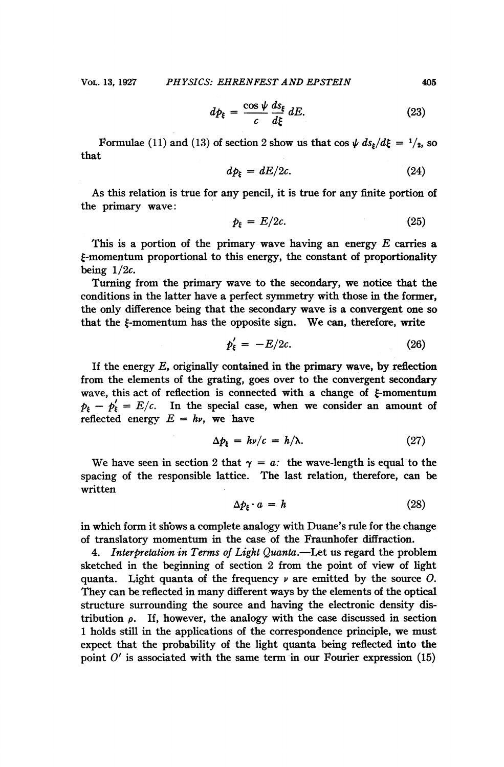$$
d p_{\xi} = \frac{\cos \psi}{c} \frac{ds_{\xi}}{d\xi} dE. \tag{23}
$$

Formulae (11) and (13) of section 2 show us that  $\cos \psi \, ds_t/d\xi = \frac{1}{2}$ , so that

$$
d p_{\xi} = dE/2c. \tag{24}
$$

As this relation is true for any pencil, it is true for any finite portion of the primary wave:

$$
\rho_{\xi} = E/2c. \tag{25}
$$

This is a portion of the primary wave having an energy  $E$  carries a t-momentum proportional to this energy, the constant of proportionality being  $1/2c$ .

Turning from the primary wave to the secondary, we notice that the conditions in the latter have a perfect symmetry with those in the former, the only difference being that the secondary wave is a convergent one so that the  $\xi$ -momentum has the opposite sign. We can, therefore, write

$$
p'_{\xi} = -E/2c. \tag{26}
$$

If the energy  $E$ , originally contained in the primary wave, by reflection from the elements of the grating, goes over to the convergent secondary wave, this act of reflection is connected with a change of  $\xi$ -momentum  $p_{\xi} - p'_{\xi} = E/c$ . In the special case, when we consider an amount of reflected energy  $E = h\nu$ , we have

$$
\Delta p_{\xi} = h\nu/c = h/\lambda. \tag{27}
$$

We have seen in section 2 that  $\gamma = a$ : the wave-length is equal to the spacing of the responsible lattice. The last relation, therefore, can be written

$$
\Delta p_{\xi} \cdot a = h \tag{28}
$$

in which form it shows a complete analogy with Duane's rule for the change of translatory momentum in the case of the Fraunhofer diffraction.

4. Interpretation in Terms of Light Quanta.-Let us regard the problem sketched in the beginning of section 2 from the point of view of light quanta. Light quanta of the frequency  $\nu$  are emitted by the source O. They can be reflected in many different ways by the elements of the optical structure surrounding the source and having the electronic density distribution  $\rho$ . If, however, the analogy with the case discussed in section <sup>1</sup> holds still in the applications of the correspondence principle, we must expect that the probability of the light quanta being reflected into the point  $O'$  is associated with the same term in our Fourier expression (15)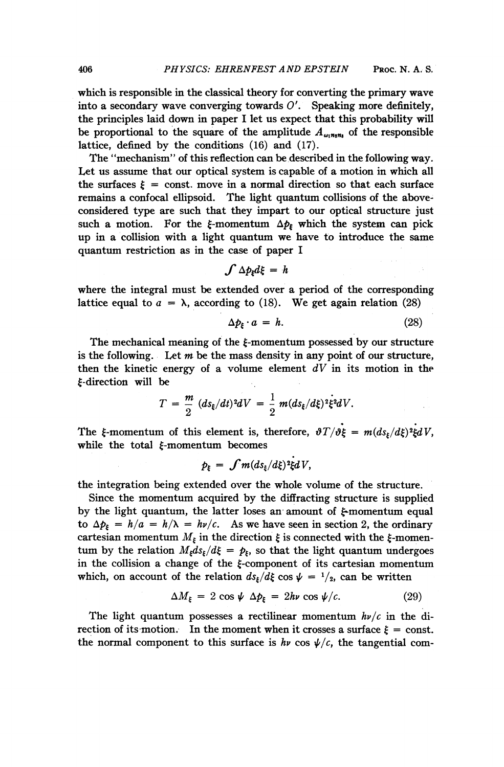which is responsible in the classical theory for converting the primary wave into a secondary wave converging towards  $O'$ . Speaking more definitely, the principles laid down in paper <sup>I</sup> let us expect that this probability will be proportional to the square of the amplitude  $A_{\omega n n n}$  of the responsible lattice, defined by the conditions (16) and (17).

The "mechanism" of this reflection can be described in the following way. Let us assume that our optical system is capable of a motion in which all the surfaces  $\xi$  = const. move in a normal direction so that each surface remains a confocal ellipsoid. The light quantum collisions of the aboveconsidered type are such that they impart to our optical structure just such a motion. For the  $\xi$ -momentum  $\Delta p_{\xi}$  which the system can pick up in a collision with a light quantum we have to introduce the same quantum restriction as in the case of paper <sup>I</sup>

 $\int \Delta p_t d\xi = h$ 

where the integral must be extended over a period of the corresponding lattice equal to  $a = \lambda$ , according to (18). We get again relation (28)

$$
\Delta p_{\xi} \cdot a = h. \tag{28}
$$

The mechanical meaning of the  $\xi$ -momentum possessed by our structure is the following. Let m be the mass density in any point of our structure,<br>then the kinetic energy of a volume element dV in its motion in the<br> $\xi$ -direction will be<br> $T = \frac{m}{2} (ds_{\xi}/dt)^2 dV = \frac{1}{2} m(ds_{\xi}/d\xi)^2 \xi^2 dV$ . then the kinetic energy of a volume element  $dV$  in its motion in the t-direction will be

$$
T = \frac{m}{2} \left( ds_{\xi}/dt \right)^2 dV = \frac{1}{2} m (ds_{\xi}/d\xi)^2 \dot{\xi}^2 dV.
$$

The  $\xi$ -momentum of this element is, therefore,  $\partial T/\partial \xi = m(ds_t/d\xi)^2\epsilon dV$ , while the total  $\xi$ -momentum becomes

 $p_t = \int m(ds_t/d\xi)^2 \dot{\xi} dV$ ,

the integration being extended over the whole volume of the structure.

Since the momentum acquired by the diffracting structure is supplied by the light quantum, the latter loses an amount of  $\xi$ -momentum equal to  $\Delta p_{\xi} = h/a = h/\lambda = h\nu/c$ . As we have seen in section 2, the ordinary cartesian momentum  $M_{\xi}$  in the direction  $\xi$  is connected with the  $\xi$ -momentum by the relation  $M_{\xi}ds_{\xi}/d\xi = p_{\xi}$ , so that the light quantum undergoes in the collision a change of the  $\xi$ -component of its cartesian momentum which, on account of the relation  $ds<sub>k</sub>/d\xi$  cos  $\psi = \frac{1}{2}$ , can be written

$$
\Delta M_{\xi} = 2 \cos \psi \ \Delta p_{\xi} = 2h\nu \cos \psi/c. \tag{29}
$$

The light quantum possesses a rectilinear momentum  $h\nu/c$  in the direction of its motion. In the moment when it crosses a surface  $\xi$  = const. the normal component to this surface is hv cos  $\psi/c$ , the tangential com-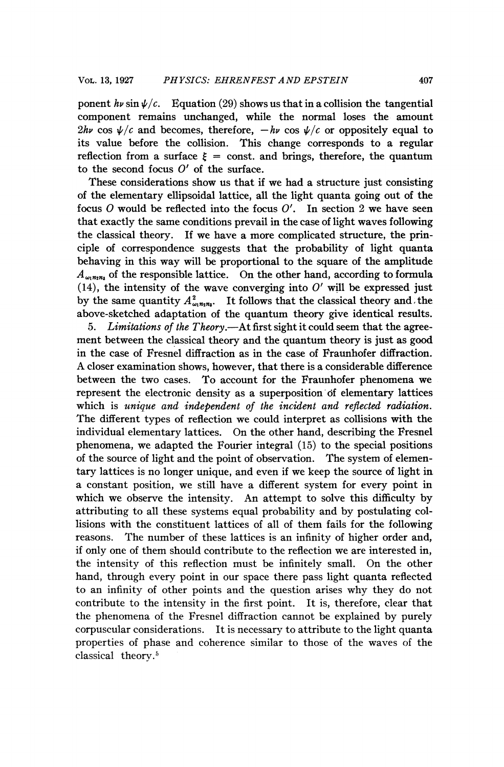ponent  $h\nu \sin \psi/c$ . Equation (29) shows us that in a collision the tangential component remains unchanged, while the normal loses the amount 2hv cos  $\psi/c$  and becomes, therefore,  $-h\nu$  cos  $\psi/c$  or oppositely equal to its value before the collision. This change corresponds to a regular reflection from a surface  $\xi$  = const. and brings, therefore, the quantum to the second focus  $O'$  of the surface.

These considerations show us that if we had a structure just consisting of the elementary ellipsoidal lattice, all the light quanta going out of the focus  $O$  would be reflected into the focus  $O'$ . In section 2 we have seen that exactly the same conditions prevail in the case of light waves following the classical theory. If we have a more complicated structure, the principle of correspondence suggests that the probability of light quanta behaving in this way will be proportional to the square of the amplitude  $A_{\omega n2n}$  of the responsible lattice. On the other hand, according to formula (14), the intensity of the wave converging into  $O'$  will be expressed just by the same quantity  $A^2_{\omega_1 n_2 n_3}$ . It follows that the classical theory and the above-sketched adaptation of the quantum theory give identical results.

5. Limitations of the Theory.—At first sight it could seem that the agreement between the classical theory and the quantum theory is just as good in the case of Fresnel diffraction as in the case of Fraunhofer diffraction. A closer examination shows, however, that there is <sup>a</sup> considerable difference between the two cases. To account for the Fraunhofer phenomena we represent the electronic density as a superposition of elementary lattices which is unique and independent of the incident and reflected radiation. The different types of reflection we could interpret as collisions with the individual elementary lattices. On the other hand, describing the Fresnel phenomena, we adapted the Fourier integral (15) to the special positions of the source of light and the point of observation. The system of elementary lattices is no longer unique, and even if we keep the source of light in a constant position, we still have a different system for every point in which we observe the intensity. An attempt to solve this difficulty by attributing to all these systems equal probability and by postulating collisions with the constituent lattices of all of them fails for the following reasons. The number of these lattices is an infinity of higher order and, if only one of them should contribute to the reflection we are interested in, the intensity of this reflection must be infinitely small. On the other hand, through every point in our space there pass light quanta reflected to an infinity of other points and the question arises why they do not contribute to the intensity in the first point. It is, therefore, clear that the phenomena of the Fresnel diffraction cannot be explained by purely corpuscular considerations. It is necessary to attribute to the light quanta properties of phase and coherence similar to those of the waves of the classical theory.5